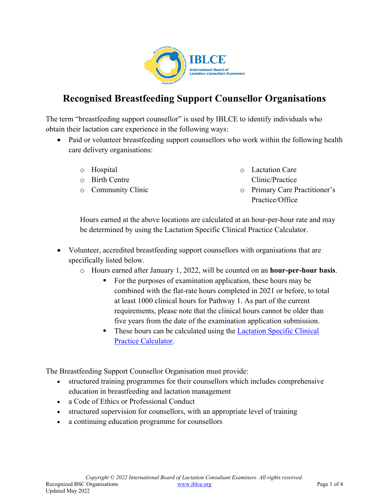

## **Recognised Breastfeeding Support Counsellor Organisations**

The term "breastfeeding support counsellor" is used by IBLCE to identify individuals who obtain their lactation care experience in the following ways:

- Paid or volunteer breastfeeding support counsellors who work within the following health care delivery organisations:
	- o Hospital
	- o Birth Centre
	- o Community Clinic
- o Lactation Care Clinic/Practice
- o Primary Care Practitioner's Practice/Office

Hours earned at the above locations are calculated at an hour-per-hour rate and may be determined by using the Lactation Specific Clinical Practice Calculator.

- Volunteer, accredited breastfeeding support counsellors with organisations that are specifically listed below.
	- o Hours earned after January 1, 2022, will be counted on an **hour-per-hour basis**.
		- For the purposes of examination application, these hours may be combined with the flat-rate hours completed in 2021 or before, to total at least 1000 clinical hours for Pathway 1. As part of the current requirements, please note that the clinical hours cannot be older than five years from the date of the examination application submission.
		- These hours can be calculated using the [Lactation Specific Clinical](https://iblce.org/wp-content/uploads/2022/03/September_2019_FINAL_Lactation-Specific-Clinical-Practice-Calculator.xlsx)  [Practice Calculator.](https://iblce.org/wp-content/uploads/2022/03/September_2019_FINAL_Lactation-Specific-Clinical-Practice-Calculator.xlsx)

The Breastfeeding Support Counsellor Organisation must provide:

- structured training programmes for their counsellors which includes comprehensive education in breastfeeding and lactation management
- a Code of Ethics or Professional Conduct
- structured supervision for counsellors, with an appropriate level of training
- a continuing education programme for counsellors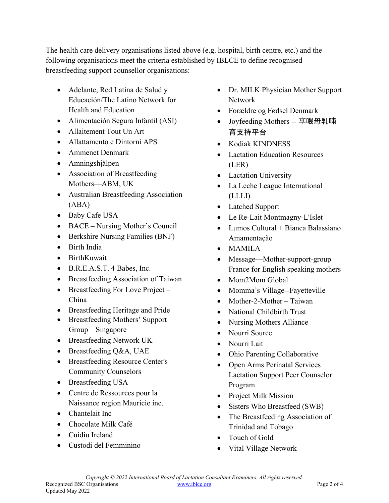The health care delivery organisations listed above (e.g. hospital, birth centre, etc.) and the following organisations meet the criteria established by IBLCE to define recognised breastfeeding support counsellor organisations:

- Adelante, Red Latina de Salud y Educación/The Latino Network for Health and Education
- Alimentación Segura Infantil (ASI)
- Allaitement Tout Un Art
- Allattamento e Dintorni APS
- Ammenet Denmark
- Amningshjälpen
- Association of Breastfeeding Mothers—ABM, UK
- Australian Breastfeeding Association (ABA)
- Baby Cafe USA
- BACE Nursing Mother's Council
- Berkshire Nursing Families (BNF)
- Birth India
- BirthKuwait
- B.R.E.A.S.T. 4 Babes, Inc.
- Breastfeeding Association of Taiwan
- Breastfeeding For Love Project China
- Breastfeeding Heritage and Pride
- Breastfeeding Mothers' Support Group – Singapore
- Breastfeeding Network UK
- Breastfeeding Q&A, UAE
- Breastfeeding Resource Center's Community Counselors
- Breastfeeding USA
- Centre de Ressources pour la Naissance region Mauricie inc.
- Chantelait Inc
- Chocolate Milk Café
- Cuidiu Ireland
- Custodi del Femminino
- Dr. MILK Physician Mother Support Network
- Forældre og Fødsel Denmark
- Joyfeeding Mothers -- 享喂母乳哺 育支持平台
- Kodiak KINDNESS
- Lactation Education Resources (LER)
- Lactation University
- La Leche League International (LLLI)
- Latched Support
- Le Re-Lait Montmagny-L'Islet
- Lumos Cultural + Bianca Balassiano Amamentação
- MAMILA
- Message—Mother-support-group France for English speaking mothers
- Mom2Mom Global
- Momma's Village--Fayetteville
- Mother-2-Mother Taiwan
- National Childbirth Trust
- Nursing Mothers Alliance
- Nourri Source
- Nourri Lait
- Ohio Parenting Collaborative
- Open Arms Perinatal Services Lactation Support Peer Counselor Program
- Project Milk Mission
- Sisters Who Breastfeed (SWB)
- The Breastfeeding Association of Trinidad and Tobago
- Touch of Gold
- Vital Village Network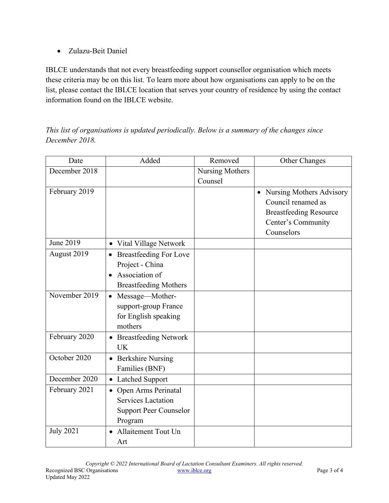• Zulazu-Beit Daniel

IBLCE understands that not every breastfeeding support counsellor organisation which meets these criteria may be on this list. To learn more about how organisations can apply to be on the list, please contact the IBLCE location that serves your country of residence by using the contact information found on the IBLCE website.

*This list of organisations is updated periodically. Below is a summary of the changes since December 2018.* 

| Date             | Added                                                                                                           | Removed         | Other Changes                                                                                                         |
|------------------|-----------------------------------------------------------------------------------------------------------------|-----------------|-----------------------------------------------------------------------------------------------------------------------|
| December 2018    |                                                                                                                 | Nursing Mothers |                                                                                                                       |
|                  |                                                                                                                 | Counsel         |                                                                                                                       |
| February 2019    |                                                                                                                 |                 | • Nursing Mothers Advisory<br>Council renamed as<br><b>Breastfeeding Resource</b><br>Center's Community<br>Counselors |
| June 2019        | • Vital Village Network                                                                                         |                 |                                                                                                                       |
| August 2019      | <b>Breastfeeding For Love</b><br>Project - China<br>Association of<br>$\bullet$<br><b>Breastfeeding Mothers</b> |                 |                                                                                                                       |
| November 2019    | • Message-Mother-<br>support-group France<br>for English speaking<br>mothers                                    |                 |                                                                                                                       |
| February 2020    | <b>Breastfeeding Network</b><br>$\bullet$<br><b>UK</b>                                                          |                 |                                                                                                                       |
| October 2020     | • Berkshire Nursing<br>Families (BNF)                                                                           |                 |                                                                                                                       |
| December 2020    | <b>Latched Support</b>                                                                                          |                 |                                                                                                                       |
| February 2021    | • Open Arms Perinatal<br><b>Services Lactation</b><br><b>Support Peer Counselor</b><br>Program                  |                 |                                                                                                                       |
| <b>July 2021</b> | • Allaitement Tout Un<br>Art                                                                                    |                 |                                                                                                                       |